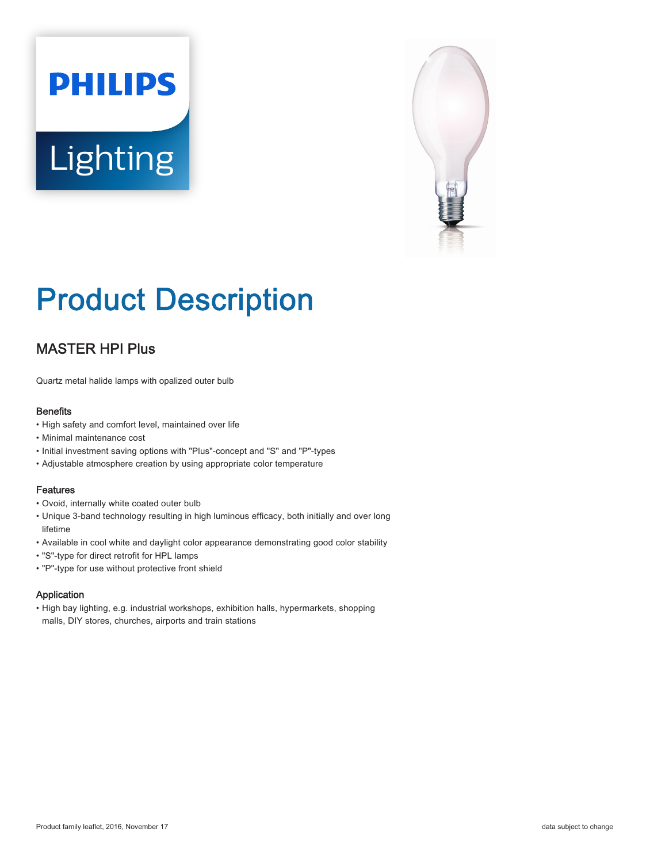# **PHILIPS** Lighting



# Product Description

# MASTER HPI Plus

Quartz metal halide lamps with opalized outer bulb

#### **Benefits**

- High safety and comfort level, maintained over life
- Minimal maintenance cost
- Initial investment saving options with "Plus"-concept and "S" and "P"-types
- Adjustable atmosphere creation by using appropriate color temperature

#### Features

- Ovoid, internally white coated outer bulb
- Unique 3-band technology resulting in high luminous efficacy, both initially and over long lifetime
- Available in cool white and daylight color appearance demonstrating good color stability
- "S"-type for direct retrofit for HPL lamps
- "P"-type for use without protective front shield

#### Application

• High bay lighting, e.g. industrial workshops, exhibition halls, hypermarkets, shopping malls, DIY stores, churches, airports and train stations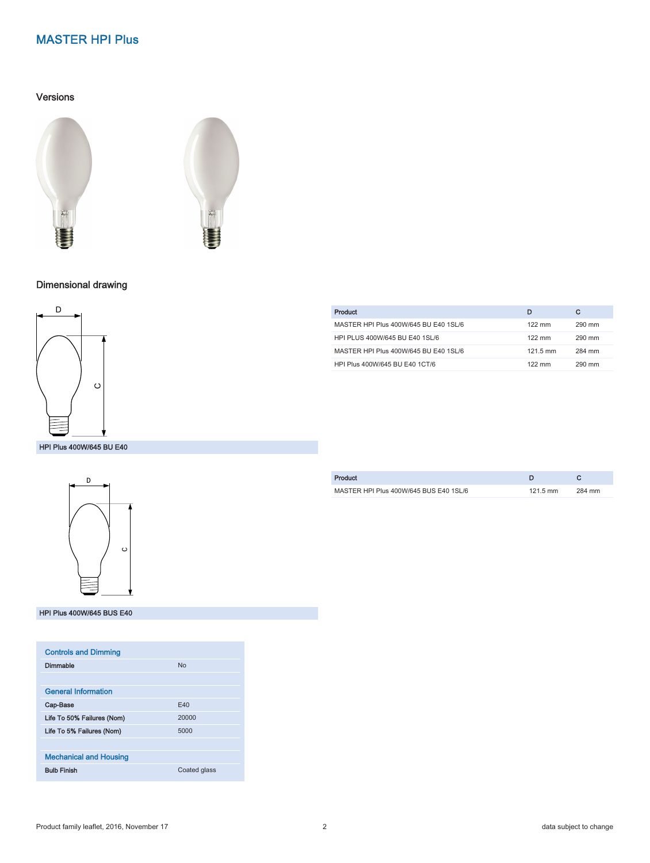#### Versions





## Dimensional drawing



#### HPI Plus 400W/645 BU E40



#### HPI Plus 400W/645 BUS E40

| <b>Controls and Dimming</b>   |                |
|-------------------------------|----------------|
| Dimmable                      | N <sub>0</sub> |
|                               |                |
| <b>General Information</b>    |                |
| Cap-Base                      | F40            |
| Life To 50% Failures (Nom)    | 20000          |
| Life To 5% Failures (Nom)     | 5000           |
|                               |                |
| <b>Mechanical and Housing</b> |                |
| <b>Bulb Finish</b>            | Coated glass   |

| Product                               | D                | С      |
|---------------------------------------|------------------|--------|
| MASTER HPI Plus 400W/645 BU E40 1SL/6 | $122 \text{ mm}$ | 290 mm |
| HPI PLUS 400W/645 BU E40 1SL/6        | $122 \text{ mm}$ | 290 mm |
| MASTER HPI Plus 400W/645 BU E40 1SL/6 | 121.5 mm         | 284 mm |
| HPI Plus 400W/645 BU E40 1CT/6        | $122 \text{ mm}$ | 290 mm |
|                                       |                  |        |

| Product                                |                    |        |
|----------------------------------------|--------------------|--------|
| MASTER HPI Plus 400W/645 BUS E40 1SL/6 | $121.5 \text{ mm}$ | 284 mm |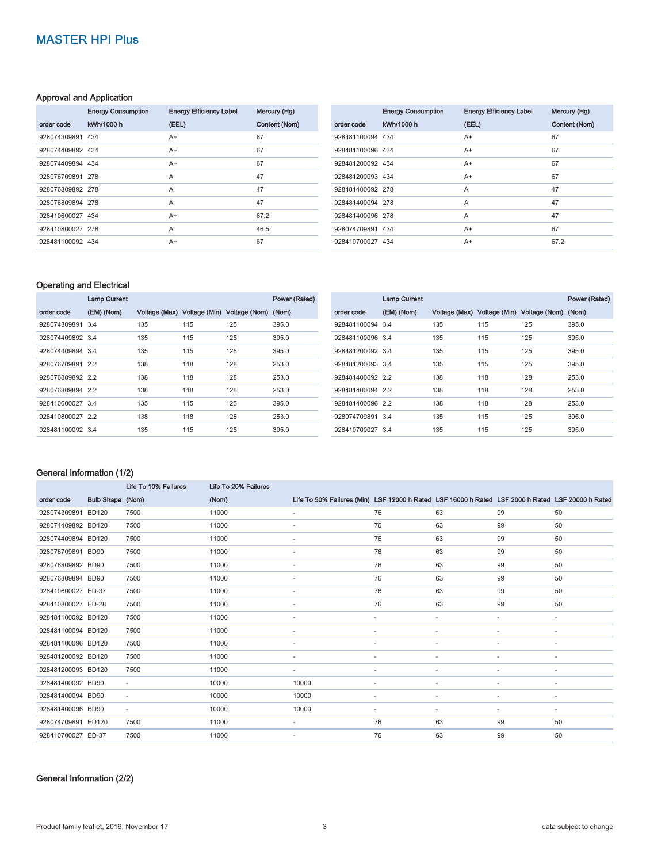#### Approval and Application

|                  | <b>Energy Consumption</b> | <b>Energy Efficiency Label</b> | Mercury (Hg)  |
|------------------|---------------------------|--------------------------------|---------------|
| order code       | kWh/1000 h                | (EEL)                          | Content (Nom) |
| 928074309891 434 |                           | $A+$                           | 67            |
| 928074409892 434 |                           | A+                             | 67            |
| 928074409894 434 |                           | $A+$                           | 67            |
| 928076709891 278 |                           | A                              | 47            |
| 928076809892 278 |                           | A                              | 47            |
| 928076809894 278 |                           | A                              | 47            |
| 928410600027 434 |                           | $A+$                           | 67.2          |
| 928410800027 278 |                           | A                              | 46.5          |
| 928481100092 434 |                           | $A+$                           | 67            |

| <b>Energy Consumption</b> | <b>Energy Efficiency Label</b> | Mercury (Hg)  |
|---------------------------|--------------------------------|---------------|
| kWh/1000 h                | (EEL)                          | Content (Nom) |
| 928481100094 434          | A+                             | 67            |
| 928481100096 434          | A+                             | 67            |
| 928481200092 434          | A+                             | 67            |
| 928481200093 434          | $A+$                           | 67            |
| 928481400092 278          | A                              | 47            |
| 928481400094 278          | A                              | 47            |
| 928481400096 278          | A                              | 47            |
| 928074709891 434          | A+                             | 67            |
| 928410700027 434          | $A+$                           | 67.2          |
|                           |                                |               |

#### Operating and Electrical

|                  | <b>Lamp Current</b> |     |     |                                                 | Power (Rated) |
|------------------|---------------------|-----|-----|-------------------------------------------------|---------------|
| order code       | (EM) (Nom)          |     |     | Voltage (Max) Voltage (Min) Voltage (Nom) (Nom) |               |
| 928074309891 3.4 |                     | 135 | 115 | 125                                             | 395.0         |
| 928074409892 3.4 |                     | 135 | 115 | 125                                             | 395.0         |
| 928074409894 3.4 |                     | 135 | 115 | 125                                             | 395.0         |
| 928076709891 2.2 |                     | 138 | 118 | 128                                             | 253.0         |
| 928076809892 2.2 |                     | 138 | 118 | 128                                             | 253.0         |
| 928076809894 2.2 |                     | 138 | 118 | 128                                             | 253.0         |
| 928410600027 3.4 |                     | 135 | 115 | 125                                             | 395.0         |
| 928410800027 2.2 |                     | 138 | 118 | 128                                             | 253.0         |
| 928481100092 3.4 |                     | 135 | 115 | 125                                             | 395.0         |

|                  | <b>Lamp Current</b> |     |     |                                                 | Power (Rated) |
|------------------|---------------------|-----|-----|-------------------------------------------------|---------------|
| order code       | (EM) (Nom)          |     |     | Voltage (Max) Voltage (Min) Voltage (Nom) (Nom) |               |
| 928481100094 3.4 |                     | 135 | 115 | 125                                             | 395.0         |
| 928481100096 3.4 |                     | 135 | 115 | 125                                             | 395.0         |
| 928481200092 3.4 |                     | 135 | 115 | 125                                             | 395.0         |
| 928481200093 3.4 |                     | 135 | 115 | 125                                             | 395.0         |
| 928481400092 2.2 |                     | 138 | 118 | 128                                             | 253.0         |
| 928481400094 2.2 |                     | 138 | 118 | 128                                             | 253.0         |
| 928481400096 2.2 |                     | 138 | 118 | 128                                             | 253.0         |
| 928074709891 3.4 |                     | 135 | 115 | 125                                             | 395.0         |
| 928410700027 3.4 |                     | 135 | 115 | 125                                             | 395.0         |

#### General Information (1/2)

|                    |                  | Life To 10% Failures     | Life To 20% Failures |                                                                                                   |                          |    |                          |                          |
|--------------------|------------------|--------------------------|----------------------|---------------------------------------------------------------------------------------------------|--------------------------|----|--------------------------|--------------------------|
| order code         | Bulb Shape (Nom) |                          | (Nom)                | Life To 50% Failures (Min) LSF 12000 h Rated LSF 16000 h Rated LSF 2000 h Rated LSF 20000 h Rated |                          |    |                          |                          |
| 928074309891       | <b>BD120</b>     | 7500                     | 11000                | $\sim$                                                                                            | 76                       | 63 | 99                       | 50                       |
| 928074409892 BD120 |                  | 7500                     | 11000                |                                                                                                   | 76                       | 63 | 99                       | 50                       |
| 928074409894 BD120 |                  | 7500                     | 11000                | ٠                                                                                                 | 76                       | 63 | 99                       | 50                       |
| 928076709891 BD90  |                  | 7500                     | 11000                | ٠                                                                                                 | 76                       | 63 | 99                       | 50                       |
| 928076809892 BD90  |                  | 7500                     | 11000                |                                                                                                   | 76                       | 63 | 99                       | 50                       |
| 928076809894 BD90  |                  | 7500                     | 11000                | ٠                                                                                                 | 76                       | 63 | 99                       | 50                       |
| 928410600027 ED-37 |                  | 7500                     | 11000                | ٠                                                                                                 | 76                       | 63 | 99                       | 50                       |
| 928410800027 ED-28 |                  | 7500                     | 11000                | ٠                                                                                                 | 76                       | 63 | 99                       | 50                       |
| 928481100092 BD120 |                  | 7500                     | 11000                | ٠                                                                                                 | ٠                        | ٠  |                          | $\sim$                   |
| 928481100094 BD120 |                  | 7500                     | 11000                | ٠                                                                                                 | $\sim$                   | ٠  | $\overline{\phantom{0}}$ | $\sim$                   |
| 928481100096 BD120 |                  | 7500                     | 11000                | $\overline{\phantom{a}}$                                                                          | ٠                        |    |                          | $\sim$                   |
| 928481200092 BD120 |                  | 7500                     | 11000                | $\overline{\phantom{a}}$                                                                          |                          |    |                          | $\sim$                   |
| 928481200093 BD120 |                  | 7500                     | 11000                | ٠                                                                                                 | $\overline{\phantom{a}}$ | ٠  | ٠                        | $\overline{\phantom{a}}$ |
| 928481400092 BD90  |                  | $\overline{\phantom{a}}$ | 10000                | 10000                                                                                             | ٠                        | ٠  |                          | $\overline{\phantom{a}}$ |
| 928481400094 BD90  |                  | ٠                        | 10000                | 10000                                                                                             | ٠                        | ٠  | -                        | $\sim$                   |
| 928481400096 BD90  |                  | ٠                        | 10000                | 10000                                                                                             | $\sim$                   | ٠  | -                        | $\sim$                   |
| 928074709891 ED120 |                  | 7500                     | 11000                |                                                                                                   | 76                       | 63 | 99                       | 50                       |
| 928410700027 ED-37 |                  | 7500                     | 11000                | ٠                                                                                                 | 76                       | 63 | 99                       | 50                       |
|                    |                  |                          |                      |                                                                                                   |                          |    |                          |                          |

#### General Information (2/2)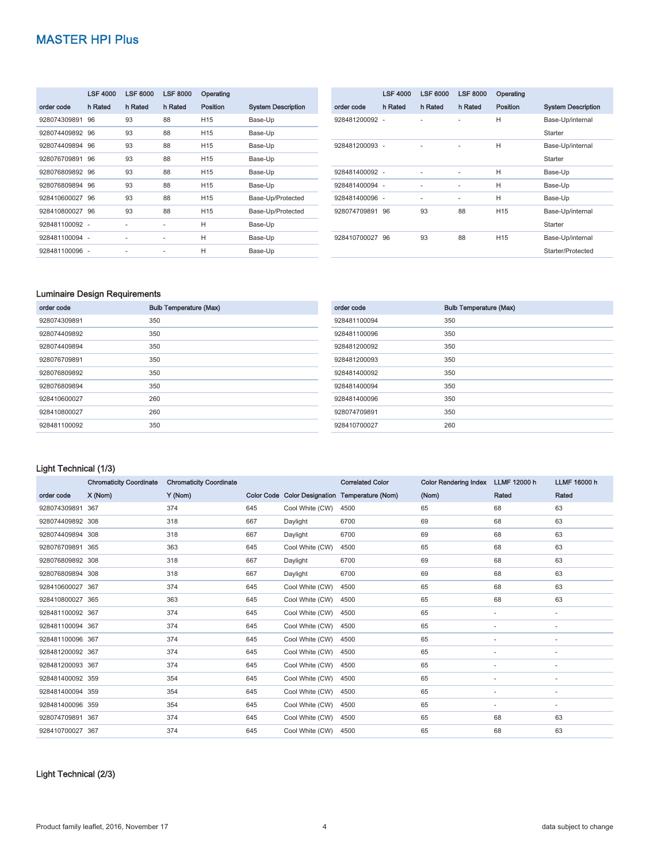|                 | <b>LSF 4000</b> | <b>LSF 6000</b> | <b>LSF 8000</b> | Operating       |                           |
|-----------------|-----------------|-----------------|-----------------|-----------------|---------------------------|
| order code      | h Rated         | h Rated         | h Rated         | Position        | <b>System Description</b> |
| 928074309891    | 96              | 93              | 88              | H <sub>15</sub> | Base-Up                   |
| 928074409892 96 |                 | 93              | 88              | H <sub>15</sub> | Base-Up                   |
| 928074409894 96 |                 | 93              | 88              | H <sub>15</sub> | Base-Up                   |
| 928076709891    | 96              | 93              | 88              | H <sub>15</sub> | Base-Up                   |
| 928076809892 96 |                 | 93              | 88              | H <sub>15</sub> | Base-Up                   |
| 928076809894 96 |                 | 93              | 88              | H <sub>15</sub> | Base-Up                   |
| 928410600027 96 |                 | 93              | 88              | H <sub>15</sub> | Base-Up/Protected         |
| 928410800027 96 |                 | 93              | 88              | H <sub>15</sub> | Base-Up/Protected         |
| 928481100092 -  |                 | ۰               | ٠               | Н               | Base-Up                   |
| 928481100094 -  |                 | ۰               | ٠               | Н               | Base-Up                   |
| 928481100096 -  |                 |                 |                 | Н               | Base-Up                   |

|                 | <b>LSF 4000</b> | <b>LSF 6000</b> | <b>LSF 8000</b>          | Operating       |                           |
|-----------------|-----------------|-----------------|--------------------------|-----------------|---------------------------|
| order code      | h Rated         | h Rated         | h Rated                  | Position        | <b>System Description</b> |
| 928481200092 -  |                 |                 | ۰                        | H               | Base-Up/internal          |
|                 |                 |                 |                          |                 | Starter                   |
| 928481200093 -  |                 |                 |                          | Н               | Base-Up/internal          |
|                 |                 |                 |                          |                 | Starter                   |
| 928481400092 -  |                 | ٠               |                          | Н               | Base-Up                   |
| 928481400094 -  |                 | ٠               | $\overline{\phantom{0}}$ | Н               | Base-Up                   |
| 928481400096 -  |                 | ٠               | ۰                        | Н               | Base-Up                   |
| 928074709891 96 |                 | 93              | 88                       | H <sub>15</sub> | Base-Up/internal          |
|                 |                 |                 |                          |                 | Starter                   |
| 928410700027    | 96              | 93              | 88                       | H <sub>15</sub> | Base-Up/internal          |
|                 |                 |                 |                          |                 | Starter/Protected         |

#### Luminaire Design Requirements

| order code   | <b>Bulb Temperature (Max)</b> |
|--------------|-------------------------------|
| 928074309891 | 350                           |
| 928074409892 | 350                           |
| 928074409894 | 350                           |
| 928076709891 | 350                           |
| 928076809892 | 350                           |
| 928076809894 | 350                           |
| 928410600027 | 260                           |
| 928410800027 | 260                           |
| 928481100092 | 350                           |

| order code   | <b>Bulb Temperature (Max)</b> |
|--------------|-------------------------------|
| 928481100094 | 350                           |
| 928481100096 | 350                           |
| 928481200092 | 350                           |
| 928481200093 | 350                           |
| 928481400092 | 350                           |
| 928481400094 | 350                           |
| 928481400096 | 350                           |
| 928074709891 | 350                           |
| 928410700027 | 260                           |

#### Light Technical (1/3)

|                  | <b>Chromaticity Coordinate</b> | <b>Chromaticity Coordinate</b> |     |                 | <b>Correlated Color</b>                        | <b>Color Rendering Index</b> | LLMF 12000 h | <b>LLMF 16000 h</b>      |
|------------------|--------------------------------|--------------------------------|-----|-----------------|------------------------------------------------|------------------------------|--------------|--------------------------|
| order code       | X (Nom)                        | Y (Nom)                        |     |                 | Color Code Color Designation Temperature (Nom) | (Nom)                        | Rated        | Rated                    |
| 928074309891     | 367                            | 374                            | 645 | Cool White (CW) | 4500                                           | 65                           | 68           | 63                       |
| 928074409892 308 |                                | 318                            | 667 | Daylight        | 6700                                           | 69                           | 68           | 63                       |
| 928074409894 308 |                                | 318                            | 667 | Daylight        | 6700                                           | 69                           | 68           | 63                       |
| 928076709891 365 |                                | 363                            | 645 | Cool White (CW) | 4500                                           | 65                           | 68           | 63                       |
| 928076809892 308 |                                | 318                            | 667 | Daylight        | 6700                                           | 69                           | 68           | 63                       |
| 928076809894 308 |                                | 318                            | 667 | Daylight        | 6700                                           | 69                           | 68           | 63                       |
| 928410600027 367 |                                | 374                            | 645 | Cool White (CW) | 4500                                           | 65                           | 68           | 63                       |
| 928410800027 365 |                                | 363                            | 645 | Cool White (CW) | 4500                                           | 65                           | 68           | 63                       |
| 928481100092 367 |                                | 374                            | 645 | Cool White (CW) | 4500                                           | 65                           | ٠            | $\overline{\phantom{a}}$ |
| 928481100094 367 |                                | 374                            | 645 | Cool White (CW) | 4500                                           | 65                           | ۰            | ٠                        |
| 928481100096 367 |                                | 374                            | 645 | Cool White (CW) | 4500                                           | 65                           | ٠            | ٠                        |
| 928481200092 367 |                                | 374                            | 645 | Cool White (CW) | 4500                                           | 65                           | ٠            | ٠                        |
| 928481200093 367 |                                | 374                            | 645 | Cool White (CW) | 4500                                           | 65                           | ٠            | ٠                        |
| 928481400092 359 |                                | 354                            | 645 | Cool White (CW) | 4500                                           | 65                           | ٠            | ٠                        |
| 928481400094 359 |                                | 354                            | 645 | Cool White (CW) | 4500                                           | 65                           | ٠            | ٠                        |
| 928481400096 359 |                                | 354                            | 645 | Cool White (CW) | 4500                                           | 65                           | ٠            | $\overline{\phantom{a}}$ |
| 928074709891 367 |                                | 374                            | 645 | Cool White (CW) | 4500                                           | 65                           | 68           | 63                       |
| 928410700027 367 |                                | 374                            | 645 | Cool White (CW) | 4500                                           | 65                           | 68           | 63                       |

#### Light Technical (2/3)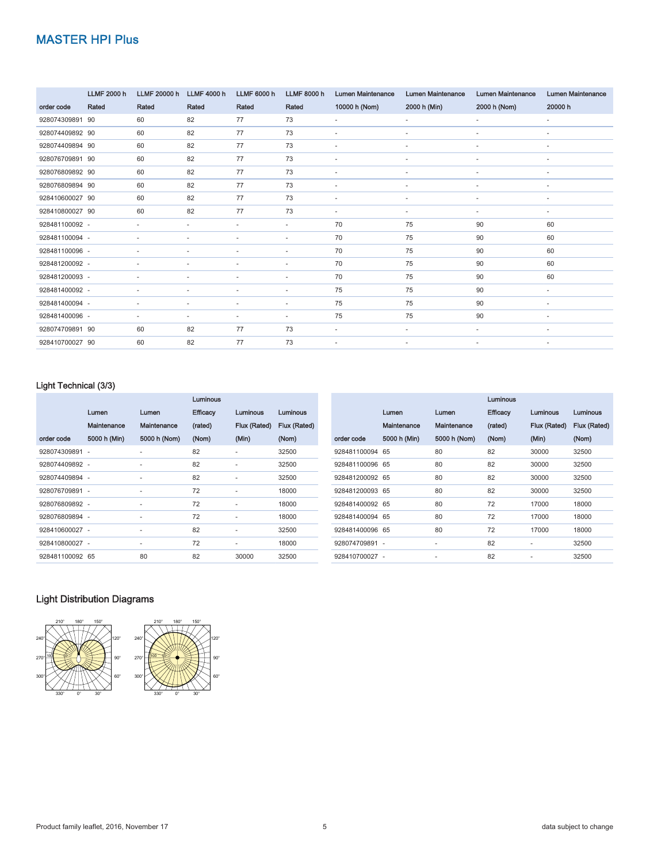|                 | <b>LLMF 2000 h</b> | LLMF 20000 h             | <b>LLMF 4000 h</b>       | <b>LLMF 6000 h</b>       | <b>LLMF 8000 h</b>       | <b>Lumen Maintenance</b> | <b>Lumen Maintenance</b> | <b>Lumen Maintenance</b> | <b>Lumen Maintenance</b> |
|-----------------|--------------------|--------------------------|--------------------------|--------------------------|--------------------------|--------------------------|--------------------------|--------------------------|--------------------------|
| order code      | Rated              | Rated                    | Rated                    | Rated                    | Rated                    | 10000 h (Nom)            | 2000 h (Min)             | 2000 h (Nom)             | 20000 h                  |
| 928074309891 90 |                    | 60                       | 82                       | 77                       | 73                       | $\sim$                   | $\sim$                   | $\sim$                   | $\sim$                   |
| 928074409892 90 |                    | 60                       | 82                       | 77                       | 73                       | $\sim$                   | $\sim$                   | $\sim$                   | $\sim$                   |
| 928074409894 90 |                    | 60                       | 82                       | 77                       | 73                       | $\sim$                   | $\sim$                   | ٠                        | $\overline{\phantom{a}}$ |
| 928076709891 90 |                    | 60                       | 82                       | 77                       | 73                       | ÷.                       |                          | ٠                        | $\sim$                   |
| 928076809892 90 |                    | 60                       | 82                       | 77                       | 73                       | $\overline{a}$           | ٠                        | ٠                        | $\overline{\phantom{a}}$ |
| 928076809894 90 |                    | 60                       | 82                       | 77                       | 73                       | ٠                        | ٠                        | ٠                        | $\sim$                   |
| 928410600027 90 |                    | 60                       | 82                       | 77                       | 73                       | $\blacksquare$           | ٠                        | ٠                        | $\overline{\phantom{a}}$ |
| 928410800027 90 |                    | 60                       | 82                       | 77                       | 73                       | ٠                        | $\sim$                   | ٠                        | $\sim$                   |
| 928481100092 -  |                    | $\sim$                   | $\mathbf{r}$             | $\sim$                   | $\sim$                   | 70                       | 75                       | 90                       | 60                       |
| 928481100094 -  |                    | ٠                        | $\overline{\phantom{a}}$ | $\overline{\phantom{a}}$ | $\sim$                   | 70                       | 75                       | 90                       | 60                       |
| 928481100096 -  |                    | $\overline{\phantom{a}}$ |                          |                          | ٠                        | 70                       | 75                       | 90                       | 60                       |
| 928481200092 -  |                    | ٠                        |                          | ٠                        | $\sim$                   | 70                       | 75                       | 90                       | 60                       |
| 928481200093 -  |                    | ٠                        | ٠                        | ٠                        | $\overline{\phantom{a}}$ | 70                       | 75                       | 90                       | 60                       |
| 928481400092 -  |                    | ٠                        | ٠                        | $\sim$                   | $\sim$                   | 75                       | 75                       | 90                       | $\overline{\phantom{a}}$ |
| 928481400094 -  |                    | ٠                        | $\overline{\phantom{a}}$ | ٠                        | ٠                        | 75                       | 75                       | 90                       | $\overline{\phantom{a}}$ |
| 928481400096 -  |                    | $\overline{\phantom{a}}$ | $\overline{\phantom{a}}$ | ٠                        | $\sim$                   | 75                       | 75                       | 90                       | $\sim$                   |
| 928074709891 90 |                    | 60                       | 82                       | 77                       | 73                       | $\sim$                   | $\sim$                   | $\overline{\phantom{a}}$ | $\overline{\phantom{a}}$ |
| 928410700027 90 |                    | 60                       | 82                       | 77                       | 73                       | ٠                        | $\overline{\phantom{a}}$ | $\overline{\phantom{a}}$ | $\sim$                   |

#### Light Technical (3/3)

|                 |              |                          | <b>Luminous</b> |                          |              |                 |              |                          | <b>Luminous</b> |  |
|-----------------|--------------|--------------------------|-----------------|--------------------------|--------------|-----------------|--------------|--------------------------|-----------------|--|
|                 | Lumen        | Lumen                    | <b>Efficacy</b> | Luminous                 | Luminous     |                 | Lumen        | Lumen                    | <b>Efficacy</b> |  |
|                 | Maintenance  | Maintenance              | (rated)         | Flux (Rated)             | Flux (Rated) |                 | Maintenance  | Maintenance              | (rated)         |  |
| order code      | 5000 h (Min) | 5000 h (Nom)             | (Nom)           | (Min)                    | (Nom)        | order code      | 5000 h (Min) | 5000 h (Nom)             | (Nom)           |  |
| 928074309891 -  |              |                          | 82              | $\sim$                   | 32500        | 928481100094 65 |              | 80                       | 82              |  |
| 928074409892 -  |              | $\overline{\phantom{a}}$ | 82              | ٠                        | 32500        | 928481100096 65 |              | 80                       | 82              |  |
| 928074409894 -  |              | $\overline{\phantom{a}}$ | 82              | $\overline{\phantom{a}}$ | 32500        | 928481200092 65 |              | 80                       | 82              |  |
| 928076709891 -  |              | $\overline{\phantom{a}}$ | 72              | $\sim$                   | 18000        | 928481200093 65 |              | 80                       | 82              |  |
| 928076809892 -  |              | $\overline{\phantom{a}}$ | 72              | ٠                        | 18000        | 928481400092 65 |              | 80                       | 72              |  |
| 928076809894 -  |              | $\overline{\phantom{a}}$ | 72              | $\overline{\phantom{a}}$ | 18000        | 928481400094 65 |              | 80                       | 72              |  |
| 928410600027 -  |              | $\overline{\phantom{a}}$ | 82              | ٠                        | 32500        | 928481400096 65 |              | 80                       | 72              |  |
| 928410800027 -  |              | $\overline{\phantom{a}}$ | 72              | $\overline{\phantom{a}}$ | 18000        | 928074709891 -  |              |                          | 82              |  |
| 928481100092 65 |              | 80                       | 82              | 30000                    | 32500        | 928410700027 -  |              | $\overline{\phantom{a}}$ | 82              |  |
|                 |              |                          |                 |                          |              |                 |              |                          |                 |  |

### Light Distribution Diagrams



Luminous Flux (Rated) (Nom)